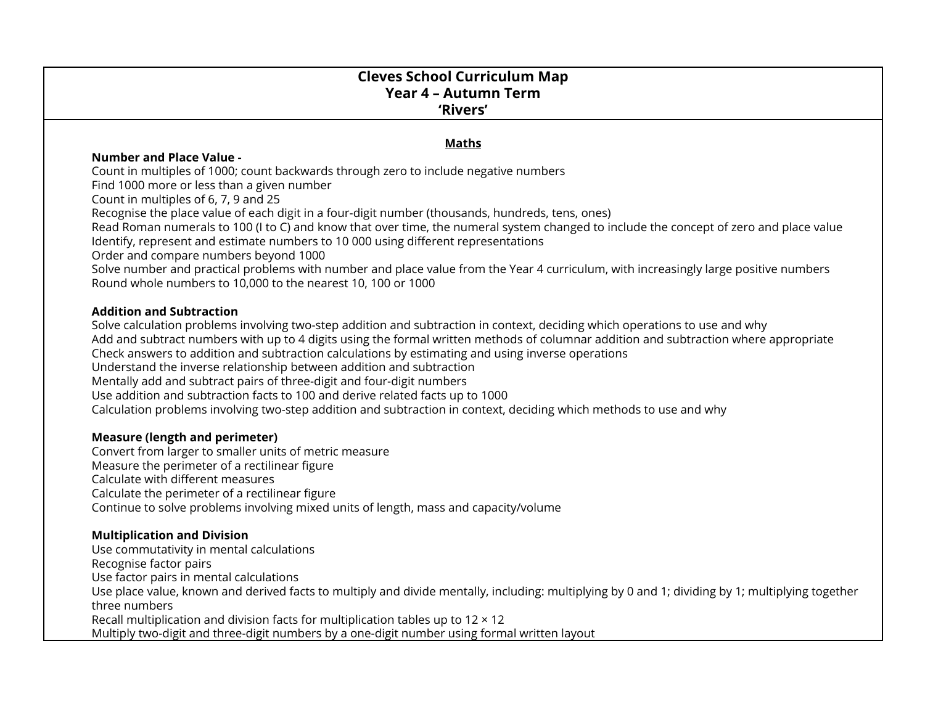# **Cleves School Curriculum Map Year 4 – Autumn Term 'Rivers'**

#### **Maths**

#### **Number and Place Value -**

Count in multiples of 1000; count backwards through zero to include negative numbers

Find 1000 more or less than a given number

Count in multiples of 6, 7, 9 and 25

Recognise the place value of each digit in a four-digit number (thousands, hundreds, tens, ones)

Read Roman numerals to 100 (I to C) and know that over time, the numeral system changed to include the concept of zero and place value Identify, represent and estimate numbers to 10 000 using different representations

Order and compare numbers beyond 1000

Solve number and practical problems with number and place value from the Year 4 curriculum, with increasingly large positive numbers Round whole numbers to 10,000 to the nearest 10, 100 or 1000

#### **Addition and Subtraction**

Solve calculation problems involving two-step addition and subtraction in context, deciding which operations to use and why Add and subtract numbers with up to 4 digits using the formal written methods of columnar addition and subtraction where appropriate Check answers to addition and subtraction calculations by estimating and using inverse operations Understand the inverse relationship between addition and subtraction Mentally add and subtract pairs of three-digit and four-digit numbers Use addition and subtraction facts to 100 and derive related facts up to 1000 Calculation problems involving two-step addition and subtraction in context, deciding which methods to use and why

## **Measure (length and perimeter)**

Convert from larger to smaller units of metric measure Measure the perimeter of a rectilinear figure Calculate with different measures Calculate the perimeter of a rectilinear figure Continue to solve problems involving mixed units of length, mass and capacity/volume

## **Multiplication and Division**

Use commutativity in mental calculations Recognise factor pairs Use factor pairs in mental calculations Use place value, known and derived facts to multiply and divide mentally, including: multiplying by 0 and 1; dividing by 1; multiplying together three numbers Recall multiplication and division facts for multiplication tables up to  $12 \times 12$ Multiply two-digit and three-digit numbers by a one-digit number using formal written layout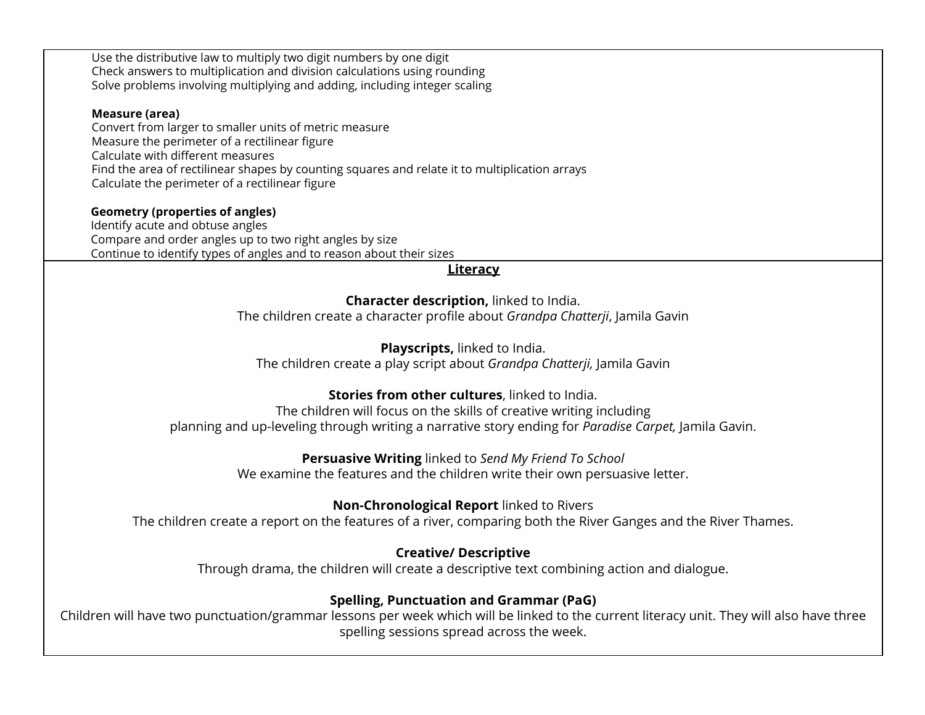| Use the distributive law to multiply two digit numbers by one digit<br>Check answers to multiplication and division calculations using rounding<br>Solve problems involving multiplying and adding, including integer scaling                                                                                       |
|---------------------------------------------------------------------------------------------------------------------------------------------------------------------------------------------------------------------------------------------------------------------------------------------------------------------|
| Measure (area)<br>Convert from larger to smaller units of metric measure<br>Measure the perimeter of a rectilinear figure<br>Calculate with different measures<br>Find the area of rectilinear shapes by counting squares and relate it to multiplication arrays<br>Calculate the perimeter of a rectilinear figure |
| <b>Geometry (properties of angles)</b><br>Identify acute and obtuse angles<br>Compare and order angles up to two right angles by size<br>Continue to identify types of angles and to reason about their sizes                                                                                                       |
| <b>Literacy</b>                                                                                                                                                                                                                                                                                                     |
| Character description, linked to India.<br>The children create a character profile about Grandpa Chatterji, Jamila Gavin                                                                                                                                                                                            |
| Playscripts, linked to India.<br>The children create a play script about Grandpa Chatterji, Jamila Gavin                                                                                                                                                                                                            |
| Stories from other cultures, linked to India.<br>The children will focus on the skills of creative writing including<br>planning and up-leveling through writing a narrative story ending for Paradise Carpet, Jamila Gavin.                                                                                        |
| Persuasive Writing linked to Send My Friend To School<br>We examine the features and the children write their own persuasive letter.                                                                                                                                                                                |
| Non-Chronological Report linked to Rivers<br>The children create a report on the features of a river, comparing both the River Ganges and the River Thames.                                                                                                                                                         |
| <b>Creative/ Descriptive</b><br>Through drama, the children will create a descriptive text combining action and dialogue.                                                                                                                                                                                           |
| <b>Spelling, Punctuation and Grammar (PaG)</b><br>Children will have two punctuation/grammar lessons per week which will be linked to the current literacy unit. They will also have three<br>spelling sessions spread across the week.                                                                             |
|                                                                                                                                                                                                                                                                                                                     |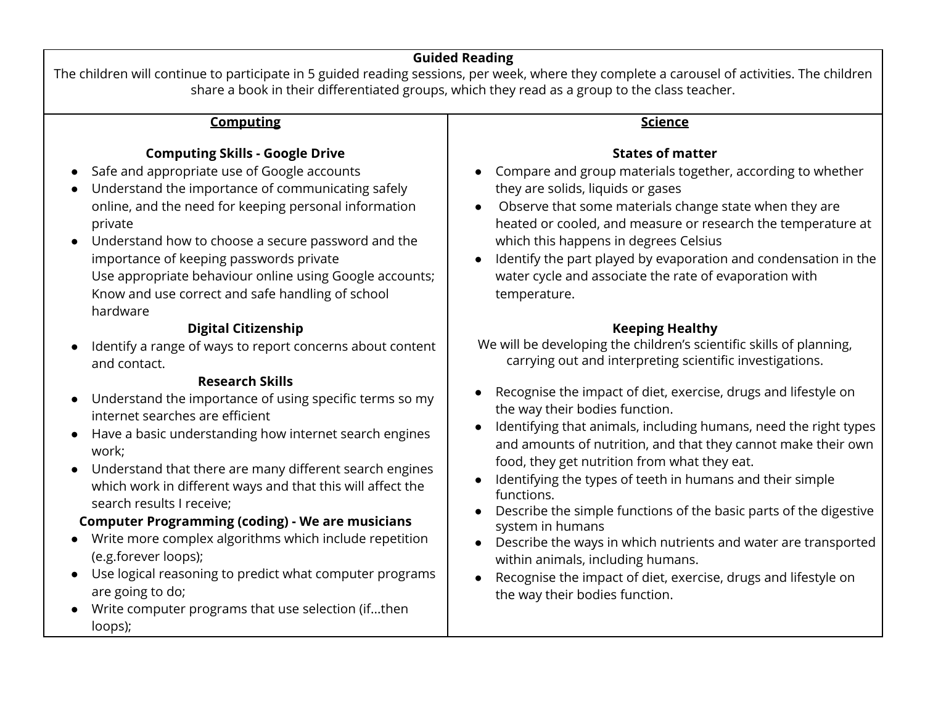# **Guided Reading**

The children will continue to participate in 5 guided reading sessions, per week, where they complete a carousel of activities. The children share a book in their differentiated groups, which they read as a group to the class teacher.

| <b>Computing</b>                                                                                                                                                                                                                                                                                                                                                                                                                                                                                                                                                                                                                                                                                                                                                                  | <b>Science</b>                                                                                                                                                                                                                                                                                                                                                                                                                                                                                                                                                                                                                                                                                                                                                                                                                    |
|-----------------------------------------------------------------------------------------------------------------------------------------------------------------------------------------------------------------------------------------------------------------------------------------------------------------------------------------------------------------------------------------------------------------------------------------------------------------------------------------------------------------------------------------------------------------------------------------------------------------------------------------------------------------------------------------------------------------------------------------------------------------------------------|-----------------------------------------------------------------------------------------------------------------------------------------------------------------------------------------------------------------------------------------------------------------------------------------------------------------------------------------------------------------------------------------------------------------------------------------------------------------------------------------------------------------------------------------------------------------------------------------------------------------------------------------------------------------------------------------------------------------------------------------------------------------------------------------------------------------------------------|
| <b>Computing Skills - Google Drive</b><br>Safe and appropriate use of Google accounts<br>Understand the importance of communicating safely<br>online, and the need for keeping personal information<br>private<br>Understand how to choose a secure password and the<br>$\bullet$<br>importance of keeping passwords private<br>Use appropriate behaviour online using Google accounts;<br>Know and use correct and safe handling of school<br>hardware                                                                                                                                                                                                                                                                                                                           | <b>States of matter</b><br>Compare and group materials together, according to whether<br>they are solids, liquids or gases<br>Observe that some materials change state when they are<br>heated or cooled, and measure or research the temperature at<br>which this happens in degrees Celsius<br>Identify the part played by evaporation and condensation in the<br>water cycle and associate the rate of evaporation with<br>temperature.                                                                                                                                                                                                                                                                                                                                                                                        |
| <b>Digital Citizenship</b><br>Identify a range of ways to report concerns about content<br>and contact.<br><b>Research Skills</b><br>Understand the importance of using specific terms so my<br>$\bullet$<br>internet searches are efficient<br>Have a basic understanding how internet search engines<br>work;<br>Understand that there are many different search engines<br>$\bullet$<br>which work in different ways and that this will affect the<br>search results I receive;<br><b>Computer Programming (coding) - We are musicians</b><br>Write more complex algorithms which include repetition<br>(e.g.forever loops);<br>Use logical reasoning to predict what computer programs<br>$\bullet$<br>are going to do;<br>Write computer programs that use selection (ifthen | <b>Keeping Healthy</b><br>We will be developing the children's scientific skills of planning,<br>carrying out and interpreting scientific investigations.<br>Recognise the impact of diet, exercise, drugs and lifestyle on<br>the way their bodies function.<br>Identifying that animals, including humans, need the right types<br>and amounts of nutrition, and that they cannot make their own<br>food, they get nutrition from what they eat.<br>Identifying the types of teeth in humans and their simple<br>functions.<br>Describe the simple functions of the basic parts of the digestive<br>system in humans<br>Describe the ways in which nutrients and water are transported<br>within animals, including humans.<br>Recognise the impact of diet, exercise, drugs and lifestyle on<br>the way their bodies function. |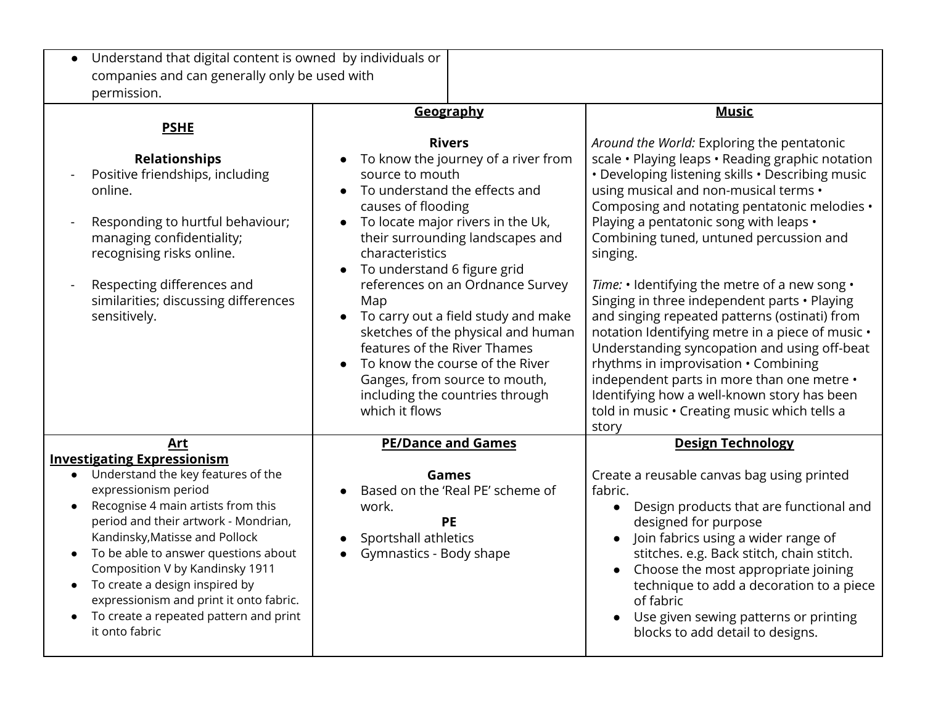| Understand that digital content is owned by individuals or                                                                                                                                                                                                                                                                                                                                                                                                            |                                                                                                                                                                                                                                                                                                                                                                                                                                                                                                                                                         |                                                                                                                                                                                                                                                                                                                                                                                                                                                                                                                                                                                                                                                                                                                                                                                                  |
|-----------------------------------------------------------------------------------------------------------------------------------------------------------------------------------------------------------------------------------------------------------------------------------------------------------------------------------------------------------------------------------------------------------------------------------------------------------------------|---------------------------------------------------------------------------------------------------------------------------------------------------------------------------------------------------------------------------------------------------------------------------------------------------------------------------------------------------------------------------------------------------------------------------------------------------------------------------------------------------------------------------------------------------------|--------------------------------------------------------------------------------------------------------------------------------------------------------------------------------------------------------------------------------------------------------------------------------------------------------------------------------------------------------------------------------------------------------------------------------------------------------------------------------------------------------------------------------------------------------------------------------------------------------------------------------------------------------------------------------------------------------------------------------------------------------------------------------------------------|
| companies and can generally only be used with<br>permission.                                                                                                                                                                                                                                                                                                                                                                                                          |                                                                                                                                                                                                                                                                                                                                                                                                                                                                                                                                                         |                                                                                                                                                                                                                                                                                                                                                                                                                                                                                                                                                                                                                                                                                                                                                                                                  |
| <b>PSHE</b>                                                                                                                                                                                                                                                                                                                                                                                                                                                           | Geography                                                                                                                                                                                                                                                                                                                                                                                                                                                                                                                                               | <b>Music</b>                                                                                                                                                                                                                                                                                                                                                                                                                                                                                                                                                                                                                                                                                                                                                                                     |
| <b>Relationships</b><br>Positive friendships, including<br>online.<br>Responding to hurtful behaviour;<br>managing confidentiality;<br>recognising risks online.<br>Respecting differences and<br>similarities; discussing differences<br>sensitively.                                                                                                                                                                                                                | <b>Rivers</b><br>To know the journey of a river from<br>source to mouth<br>To understand the effects and<br>causes of flooding<br>To locate major rivers in the Uk,<br>$\bullet$<br>their surrounding landscapes and<br>characteristics<br>To understand 6 figure grid<br>references on an Ordnance Survey<br>Map<br>To carry out a field study and make<br>sketches of the physical and human<br>features of the River Thames<br>To know the course of the River<br>Ganges, from source to mouth,<br>including the countries through<br>which it flows | Around the World: Exploring the pentatonic<br>scale · Playing leaps · Reading graphic notation<br>• Developing listening skills • Describing music<br>using musical and non-musical terms •<br>Composing and notating pentatonic melodies •<br>Playing a pentatonic song with leaps •<br>Combining tuned, untuned percussion and<br>singing.<br>Time: • Identifying the metre of a new song •<br>Singing in three independent parts • Playing<br>and singing repeated patterns (ostinati) from<br>notation Identifying metre in a piece of music •<br>Understanding syncopation and using off-beat<br>rhythms in improvisation • Combining<br>independent parts in more than one metre •<br>Identifying how a well-known story has been<br>told in music · Creating music which tells a<br>story |
| Art<br><b>Investigating Expressionism</b><br>Understand the key features of the<br>$\bullet$<br>expressionism period<br>Recognise 4 main artists from this<br>period and their artwork - Mondrian,<br>Kandinsky, Matisse and Pollock<br>To be able to answer questions about<br>Composition V by Kandinsky 1911<br>To create a design inspired by<br>$\bullet$<br>expressionism and print it onto fabric.<br>To create a repeated pattern and print<br>it onto fabric | <b>PE/Dance and Games</b><br>Games<br>Based on the 'Real PE' scheme of<br>work.<br>PE<br>Sportshall athletics<br>Gymnastics - Body shape                                                                                                                                                                                                                                                                                                                                                                                                                | <b>Design Technology</b><br>Create a reusable canvas bag using printed<br>fabric.<br>Design products that are functional and<br>designed for purpose<br>Join fabrics using a wider range of<br>stitches. e.g. Back stitch, chain stitch.<br>Choose the most appropriate joining<br>technique to add a decoration to a piece<br>of fabric<br>Use given sewing patterns or printing<br>blocks to add detail to designs.                                                                                                                                                                                                                                                                                                                                                                            |